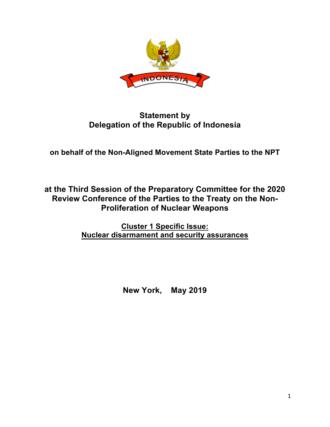

## **Statement by Delegation of the Republic of Indonesia**

**on behalf of the Non-Aligned Movement State Parties to the NPT**

**at the Third Session of the Preparatory Committee for the 2020 Review Conference of the Parties to the Treaty on the Non-Proliferation of Nuclear Weapons**

> **Cluster 1 Specific Issue: Nuclear disarmament and security assurances**

> > **New York, May 2019**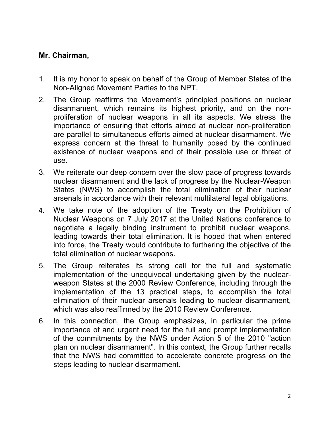## **Mr. Chairman,**

- 1. It is my honor to speak on behalf of the Group of Member States of the Non-Aligned Movement Parties to the NPT.
- 2. The Group reaffirms the Movement's principled positions on nuclear disarmament, which remains its highest priority, and on the nonproliferation of nuclear weapons in all its aspects. We stress the importance of ensuring that efforts aimed at nuclear non-proliferation are parallel to simultaneous efforts aimed at nuclear disarmament. We express concern at the threat to humanity posed by the continued existence of nuclear weapons and of their possible use or threat of use.
- 3. We reiterate our deep concern over the slow pace of progress towards nuclear disarmament and the lack of progress by the Nuclear-Weapon States (NWS) to accomplish the total elimination of their nuclear arsenals in accordance with their relevant multilateral legal obligations.
- 4. We take note of the adoption of the Treaty on the Prohibition of Nuclear Weapons on 7 July 2017 at the United Nations conference to negotiate a legally binding instrument to prohibit nuclear weapons, leading towards their total elimination. It is hoped that when entered into force, the Treaty would contribute to furthering the objective of the total elimination of nuclear weapons.
- 5. The Group reiterates its strong call for the full and systematic implementation of the unequivocal undertaking given by the nuclearweapon States at the 2000 Review Conference, including through the implementation of the 13 practical steps, to accomplish the total elimination of their nuclear arsenals leading to nuclear disarmament, which was also reaffirmed by the 2010 Review Conference.
- 6. In this connection, the Group emphasizes, in particular the prime importance of and urgent need for the full and prompt implementation of the commitments by the NWS under Action 5 of the 2010 "action plan on nuclear disarmament". In this context, the Group further recalls that the NWS had committed to accelerate concrete progress on the steps leading to nuclear disarmament.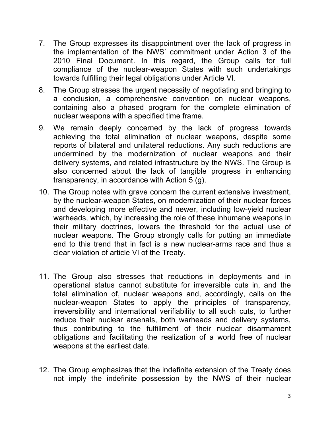- 7. The Group expresses its disappointment over the lack of progress in the implementation of the NWS' commitment under Action 3 of the 2010 Final Document. In this regard, the Group calls for full compliance of the nuclear-weapon States with such undertakings towards fulfilling their legal obligations under Article VI.
- 8. The Group stresses the urgent necessity of negotiating and bringing to a conclusion, a comprehensive convention on nuclear weapons, containing also a phased program for the complete elimination of nuclear weapons with a specified time frame.
- 9. We remain deeply concerned by the lack of progress towards achieving the total elimination of nuclear weapons, despite some reports of bilateral and unilateral reductions. Any such reductions are undermined by the modernization of nuclear weapons and their delivery systems, and related infrastructure by the NWS. The Group is also concerned about the lack of tangible progress in enhancing transparency, in accordance with Action 5 (g).
- 10. The Group notes with grave concern the current extensive investment, by the nuclear-weapon States, on modernization of their nuclear forces and developing more effective and newer, including low-yield nuclear warheads, which, by increasing the role of these inhumane weapons in their military doctrines, lowers the threshold for the actual use of nuclear weapons. The Group strongly calls for putting an immediate end to this trend that in fact is a new nuclear-arms race and thus a clear violation of article VI of the Treaty.
- 11. The Group also stresses that reductions in deployments and in operational status cannot substitute for irreversible cuts in, and the total elimination of, nuclear weapons and, accordingly, calls on the nuclear-weapon States to apply the principles of transparency, irreversibility and international verifiability to all such cuts, to further reduce their nuclear arsenals, both warheads and delivery systems, thus contributing to the fulfillment of their nuclear disarmament obligations and facilitating the realization of a world free of nuclear weapons at the earliest date.
- 12. The Group emphasizes that the indefinite extension of the Treaty does not imply the indefinite possession by the NWS of their nuclear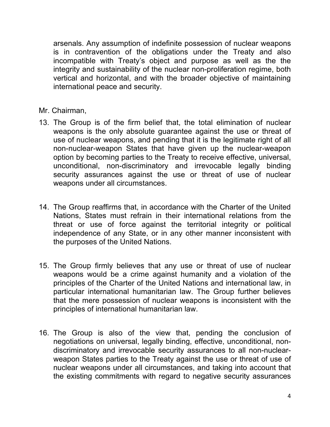arsenals. Any assumption of indefinite possession of nuclear weapons is in contravention of the obligations under the Treaty and also incompatible with Treaty's object and purpose as well as the the integrity and sustainability of the nuclear non-proliferation regime, both vertical and horizontal, and with the broader objective of maintaining international peace and security.

Mr. Chairman,

- 13. The Group is of the firm belief that, the total elimination of nuclear weapons is the only absolute guarantee against the use or threat of use of nuclear weapons, and pending that it is the legitimate right of all non-nuclear-weapon States that have given up the nuclear-weapon option by becoming parties to the Treaty to receive effective, universal, unconditional, non-discriminatory and irrevocable legally binding security assurances against the use or threat of use of nuclear weapons under all circumstances.
- 14. The Group reaffirms that, in accordance with the Charter of the United Nations, States must refrain in their international relations from the threat or use of force against the territorial integrity or political independence of any State, or in any other manner inconsistent with the purposes of the United Nations.
- 15. The Group firmly believes that any use or threat of use of nuclear weapons would be a crime against humanity and a violation of the principles of the Charter of the United Nations and international law, in particular international humanitarian law. The Group further believes that the mere possession of nuclear weapons is inconsistent with the principles of international humanitarian law.
- 16. The Group is also of the view that, pending the conclusion of negotiations on universal, legally binding, effective, unconditional, nondiscriminatory and irrevocable security assurances to all non-nuclearweapon States parties to the Treaty against the use or threat of use of nuclear weapons under all circumstances, and taking into account that the existing commitments with regard to negative security assurances